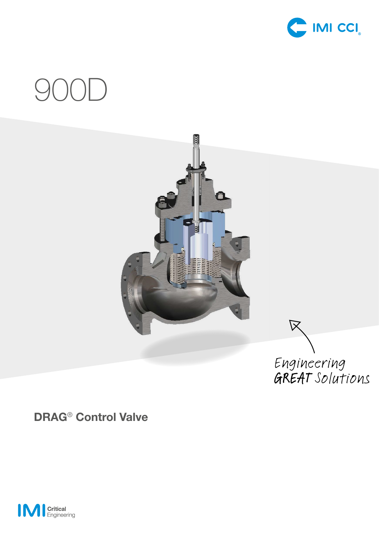

# 900D



# **DRAG**® **Control Valve**

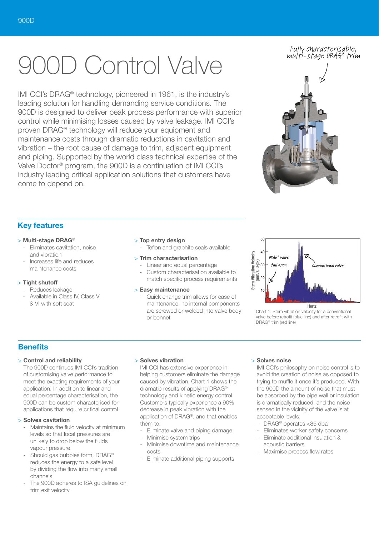# 00D Control Valve

IMI CCI's DRAG® technology, pioneered in 1961, is the industry's leading solution for handling demanding service conditions. The 900D is designed to deliver peak process performance with superior control while minimising losses caused by valve leakage. IMI CCI's proven DRAG® technology will reduce your equipment and maintenance costs through dramatic reductions in cavitation and vibration – the root cause of damage to trim, adjacent equipment and piping. Supported by the world class technical expertise of the Valve Doctor® program, the 900D is a continuation of IMI CCI's industry leading critical application solutions that customers have come to depend on.

### Fully characterisable, multi-stage DRAG® trim



# **Key features**

#### > **Multi-stage DRAG**®

- Eliminates cavitation, noise and vibration
- Increases life and reduces maintenance costs

#### > **Tight shutoff**

- Reduces leakage
- Available in Class IV, Class V & VI with soft seat

#### > **Top entry design**

Teflon and graphite seals available

#### > **Trim characterisation**

- Linear and equal percentage Custom characterisation available to
- match specific process requirements

## > **Easy maintenance**

- Quick change trim allows for ease of maintenance, no internal components are screwed or welded into valve body or bonnet



Chart 1: Stem vibration velocity for a conventional valve before retrofit (blue line) and after retrofit with DRAG® trim (red line)

# **Benefits**

#### > **Control and reliability**

The 900D continues IMI CCI's tradition of customising valve performance to meet the exacting requirements of your application. In addition to linear and equal percentage characterisation, the 900D can be custom characterised for applications that require critical control

#### > **Solves cavitation**

- Maintains the fluid velocity at minimum levels so that local pressures are unlikely to drop below the fluids vapour pressure
- Should gas bubbles form, DRAG<sup>®</sup> reduces the energy to a safe level by dividing the flow into many small channels
- The 900D adheres to ISA guidelines on trim exit velocity

#### > **Solves vibration**

IMI CCI has extensive experience in helping customers eliminate the damage caused by vibration. Chart 1 shows the dramatic results of applying DRAG® technology and kinetic energy control. Customers typically experience a 90% decrease in peak vibration with the application of DRAG®, and that enables them to:

- Eliminate valve and piping damage.
- Minimise system trips
- Minimise downtime and maintenance costs
- Eliminate additional piping supports

#### > **Solves noise**

IMI CCI's philosophy on noise control is to avoid the creation of noise as opposed to trying to muffle it once it's produced. With the 900D the amount of noise that must be absorbed by the pipe wall or insulation is dramatically reduced, and the noise sensed in the vicinity of the valve is at acceptable levels:

- DRAG® operates <85 dba
- Eliminates worker safety concerns
- Eliminate additional insulation & acoustic barriers
- Maximise process flow rates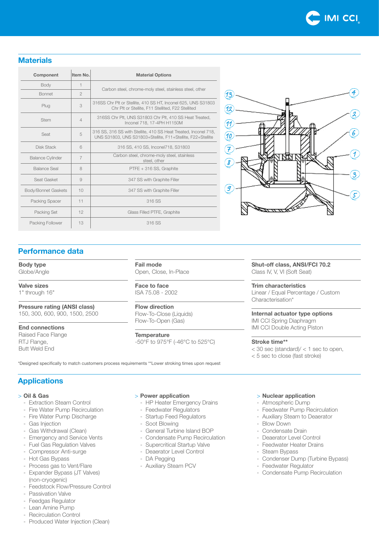

# **Materials**

| Component               | Item No.       | <b>Material Options</b>                                                                                                        |
|-------------------------|----------------|--------------------------------------------------------------------------------------------------------------------------------|
| Body                    | 1              | Carbon steel, chrome-moly steel, stainless steel, other                                                                        |
| <b>Bonnet</b>           | $\mathfrak{D}$ |                                                                                                                                |
| Plug                    | 3              | 316SS Chr Plt or Stellite, 410 SS HT, Inconel 625, UNS S31803<br>Chr Plt or Stellite, F11 Stellited, F22 Stellited             |
| <b>Stem</b>             | $\overline{4}$ | 316SS Chr Plt, UNS S31803 Chr Plt, 410 SS Heat Treated,<br>Inconel 718, 17-4PH H1150M                                          |
| Seat                    | 5              | 316 SS, 316 SS with Stellite, 410 SS Heat Treated, Inconel 718,<br>UNS S31803, UNS S31803+Stellite, F11+Stellite, F22+Stellite |
| Disk Stack              | 6              | 316 SS, 410 SS, Inconel718, S31803                                                                                             |
| <b>Balance Cylinder</b> | $\overline{7}$ | Carbon steel, chrome-moly steel, stainless<br>steel, other                                                                     |
| Balance Seal            | 8              | PTFE + 316 SS, Graphite                                                                                                        |
| Seat Gasket             | 9              | 347 SS with Graphite Filler                                                                                                    |
| Body/Bonnet Gaskets     | 10             | 347 SS with Graphite Filler                                                                                                    |
| Packing Spacer          | 11             | 316 SS                                                                                                                         |
| Packing Set             | 12             | Glass Filled PTFE, Graphite                                                                                                    |
| Packing Follower        | 13             | 316 SS                                                                                                                         |



# **Performance data**

#### **Body type**

Globe/Angle

**Valve sizes**

1" through 16"

**Pressure rating (ANSI class)** 150, 300, 600, 900, 1500, 2500

**End connections**

Raised Face Flange RTJ Flange, Butt Weld End

**Fail mode** Open, Close, In-Place

**Face to face** ISA 75.08 - 2002

**Flow direction** Flow-To-Close (Liquids) Flow-To-Open (Gas)

**Temperature** -50°F to 975°F (-46°C to 525°C) **Shut-off class, ANSI/FCI 70.2** Class IV, V, VI (Soft Seat)

**Trim characteristics** Linear / Equal Percentage / Custom Characterisation\*

**Internal actuator type options** IMI CCI Spring Diaphragm IMI CCI Double Acting Piston

#### **Stroke time\*\***

 $<$  30 sec (standard)/ $<$  1 sec to open. < 5 sec to close (fast stroke)

\*Designed specifically to match customers process requirements \*\*Lower stroking times upon request

# **Applications**

#### > **Oil & Gas**

- Extraction Steam Control
- Fire Water Pump Recirculation
- Fire Water Pump Discharge
- Gas Injection
- Gas Withdrawal (Clean)
- Emergency and Service Vents
- Fuel Gas Regulation Valves
- Compressor Anti-surge
- Hot Gas Bypass
- Process gas to Vent/Flare
- Expander Bypass (JT Valves) (non-cryogenic)
- Feedstock Flow/Pressure Control
- Passivation Valve
- Feedgas Regulator
- Lean Amine Pump
- Recirculation Control
- Produced Water Injection (Clean)

#### > **Power application**

- HP Heater Emergency Drains
- Feedwater Regulators
- Startup Feed Regulators
- Soot Blowing
- General Turbine Island BOP
- Condensate Pump Recirculation
- Supercritical Startup Valve
- Deaerator Level Control
- DA Pegging
- Auxiliary Steam PCV

#### > **Nuclear application**

- Atmospheric Dump
- Feedwater Pump Recirculation
- Auxiliary Steam to Deaerator
- Blow Down
- Condensate Drain
- Deaerator Level Control
- Feedwater Heater Drains
- Steam Bypass
- Condenser Dump (Turbine Bypass)
- Feedwater Regulator
- Condensate Pump Recirculation